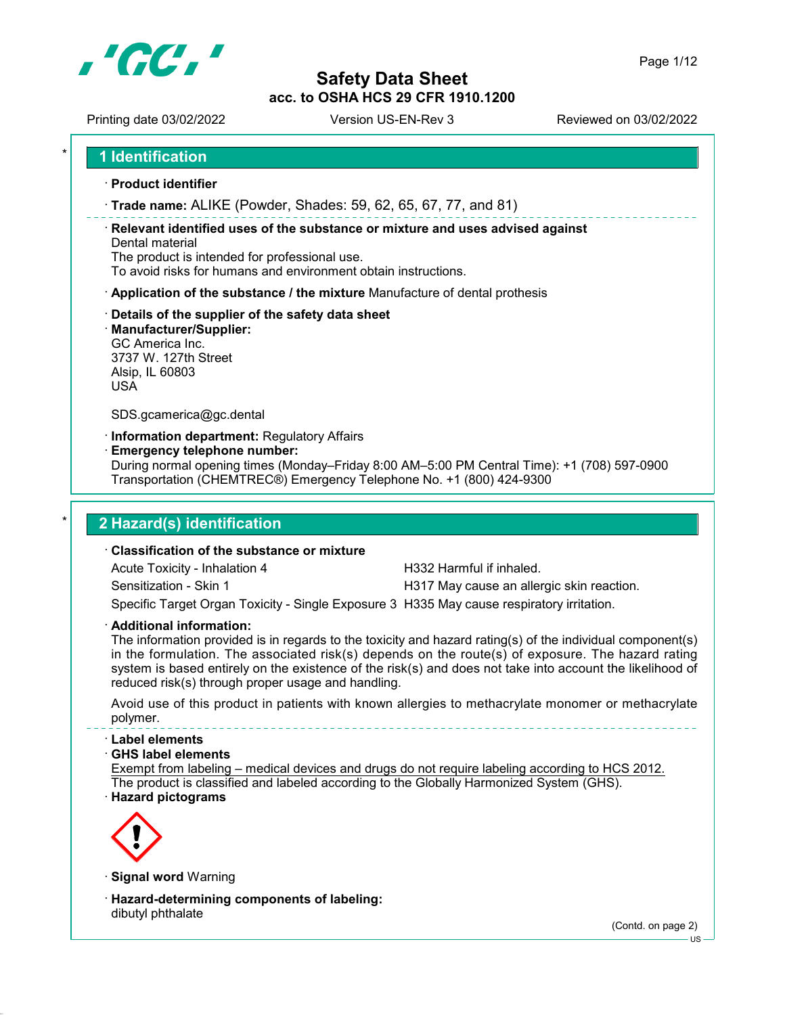

Printing date 03/02/2022 Version US-EN-Rev 3 Reviewed on 03/02/2022

1 Identification

- · Product identifier
- · Trade name: ALIKE (Powder, Shades: 59, 62, 65, 67, 77, and 81)

· Relevant identified uses of the substance or mixture and uses advised against Dental material

The product is intended for professional use.

To avoid risks for humans and environment obtain instructions.

- · Application of the substance / the mixture Manufacture of dental prothesis
- · Details of the supplier of the safety data sheet
- · Manufacturer/Supplier:

GC America Inc. 3737 W. 127th Street Alsip, IL 60803 USA

SDS.gcamerica@gc.dental

· Information department: Regulatory Affairs

· Emergency telephone number:

During normal opening times (Monday–Friday 8:00 AM–5:00 PM Central Time): +1 (708) 597-0900 Transportation (CHEMTREC®) Emergency Telephone No. +1 (800) 424-9300

# 2 Hazard(s) identification

## · Classification of the substance or mixture

Acute Toxicity - Inhalation 4 **H332 Harmful if inhaled.** 

Sensitization - Skin 1 **H317 May cause an allergic skin reaction**.

Specific Target Organ Toxicity - Single Exposure 3 H335 May cause respiratory irritation.

· Additional information:

The information provided is in regards to the toxicity and hazard rating(s) of the individual component(s) in the formulation. The associated risk(s) depends on the route(s) of exposure. The hazard rating system is based entirely on the existence of the risk(s) and does not take into account the likelihood of reduced risk(s) through proper usage and handling.

Avoid use of this product in patients with known allergies to methacrylate monomer or methacrylate polymer.

#### · Label elements

#### · GHS label elements

Exempt from labeling – medical devices and drugs do not require labeling according to HCS 2012. The product is classified and labeled according to the Globally Harmonized System (GHS).





· Signal word Warning

· Hazard-determining components of labeling: dibutyl phthalate

(Contd. on page 2)

US

Page 1/12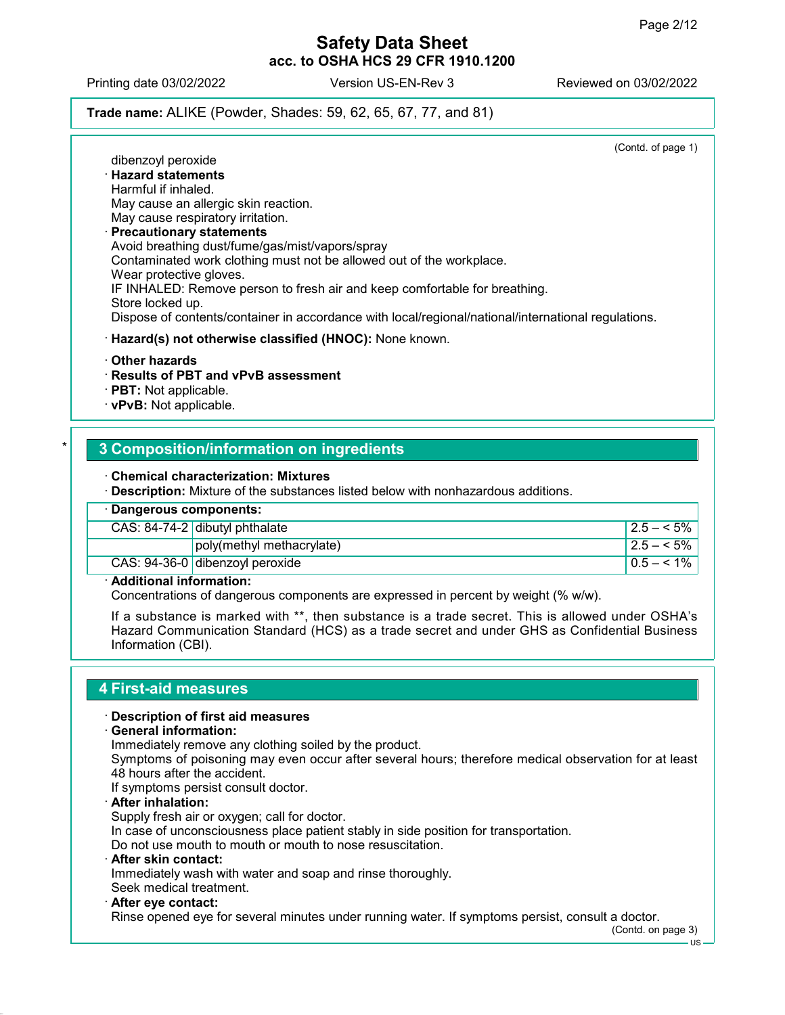Printing date 03/02/2022 Version US-EN-Rev 3 Reviewed on 03/02/2022

## Trade name: ALIKE (Powder, Shades: 59, 62, 65, 67, 77, and 81)

(Contd. of page 1)

### dibenzoyl peroxide · Hazard statements Harmful if inhaled. May cause an allergic skin reaction. May cause respiratory irritation. · Precautionary statements Avoid breathing dust/fume/gas/mist/vapors/spray Contaminated work clothing must not be allowed out of the workplace. Wear protective gloves. IF INHALED: Remove person to fresh air and keep comfortable for breathing. Store locked up. Dispose of contents/container in accordance with local/regional/national/international regulations. · Hazard(s) not otherwise classified (HNOC): None known.

- · Other hazards
- · Results of PBT and vPvB assessment
- · PBT: Not applicable.
- · vPvB: Not applicable.

# **3 Composition/information on ingredients**

#### · Chemical characterization: Mixtures

· Description: Mixture of the substances listed below with nonhazardous additions.

| · Dangerous components: |                                  |              |
|-------------------------|----------------------------------|--------------|
|                         | CAS: $84-74-2$ dibutyl phthalate | $12.5 - 5\%$ |
|                         | $ poly(methyl\,methacrylate) $   | $12.5 - 5\%$ |
|                         | CAS: 94-36-0 dibenzoyl peroxide  | $0.5 - 1\%$  |

### · Additional information:

Concentrations of dangerous components are expressed in percent by weight (% w/w).

If a substance is marked with \*\*, then substance is a trade secret. This is allowed under OSHA's Hazard Communication Standard (HCS) as a trade secret and under GHS as Confidential Business Information (CBI).

### 4 First-aid measures

#### · Description of first aid measures

#### · General information:

Immediately remove any clothing soiled by the product.

Symptoms of poisoning may even occur after several hours; therefore medical observation for at least 48 hours after the accident.

If symptoms persist consult doctor.

After inhalation:

Supply fresh air or oxygen; call for doctor.

In case of unconsciousness place patient stably in side position for transportation.

- Do not use mouth to mouth or mouth to nose resuscitation.
- · After skin contact:

Immediately wash with water and soap and rinse thoroughly. Seek medical treatment.

- 
- · After eye contact:

Rinse opened eye for several minutes under running water. If symptoms persist, consult a doctor.

(Contd. on page 3)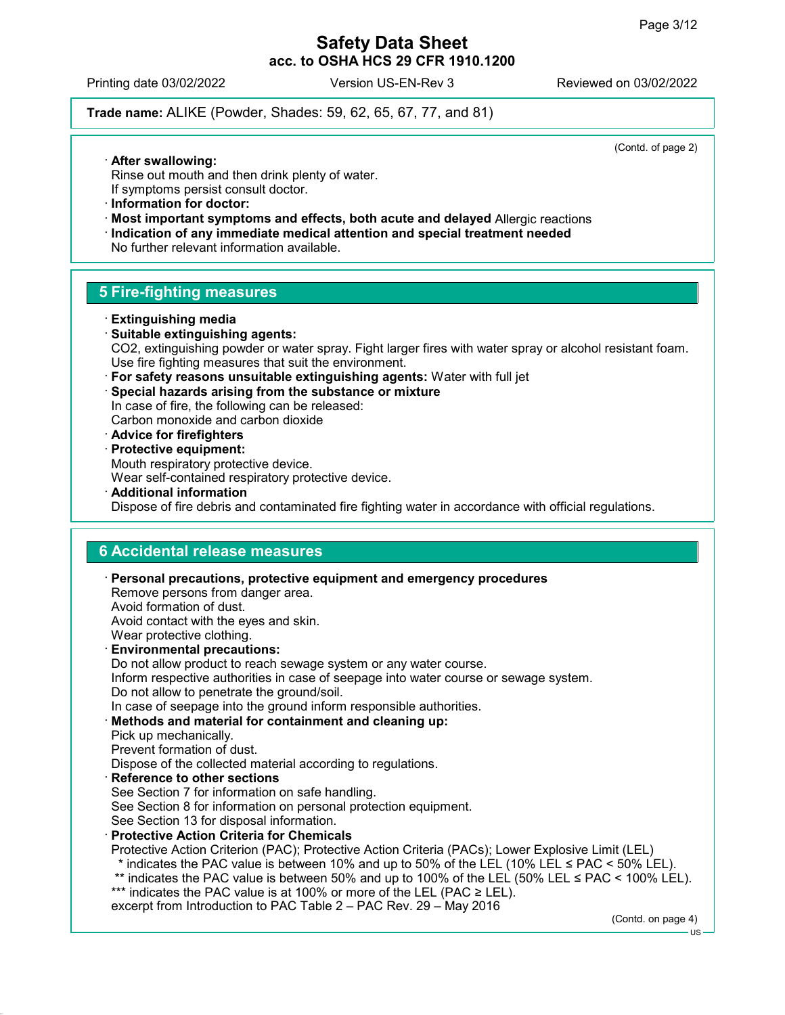Printing date 03/02/2022 Version US-EN-Rev 3 Reviewed on 03/02/2022

Trade name: ALIKE (Powder, Shades: 59, 62, 65, 67, 77, and 81)

(Contd. of page 2)

- · After swallowing:
- Rinse out mouth and then drink plenty of water.
- If symptoms persist consult doctor.
- · Information for doctor:
- · Most important symptoms and effects, both acute and delayed Allergic reactions
- · Indication of any immediate medical attention and special treatment needed

No further relevant information available.

# 5 Fire-fighting measures

- · Extinguishing media
- · Suitable extinguishing agents: CO2, extinguishing powder or water spray. Fight larger fires with water spray or alcohol resistant foam. Use fire fighting measures that suit the environment.
- · For safety reasons unsuitable extinguishing agents: Water with full jet
- · Special hazards arising from the substance or mixture

In case of fire, the following can be released: Carbon monoxide and carbon dioxide

· Advice for firefighters

· Protective equipment: Mouth respiratory protective device.

Wear self-contained respiratory protective device.

· Additional information Dispose of fire debris and contaminated fire fighting water in accordance with official regulations.

# 6 Accidental release measures

· Personal precautions, protective equipment and emergency procedures Remove persons from danger area. Avoid formation of dust. Avoid contact with the eyes and skin. Wear protective clothing. · Environmental precautions: Do not allow product to reach sewage system or any water course. Inform respective authorities in case of seepage into water course or sewage system. Do not allow to penetrate the ground/soil. In case of seepage into the ground inform responsible authorities. Methods and material for containment and cleaning up: Pick up mechanically. Prevent formation of dust. Dispose of the collected material according to regulations. **Reference to other sections** See Section 7 for information on safe handling. See Section 8 for information on personal protection equipment. See Section 13 for disposal information. · Protective Action Criteria for Chemicals Protective Action Criterion (PAC); Protective Action Criteria (PACs); Lower Explosive Limit (LEL) \* indicates the PAC value is between 10% and up to 50% of the LEL (10% LEL  $\leq$  PAC  $\leq$  50% LEL). \*\* indicates the PAC value is between 50% and up to 100% of the LEL (50% LEL ≤ PAC < 100% LEL). \*\*\* indicates the PAC value is at 100% or more of the LEL (PAC ≥ LEL). excerpt from Introduction to PAC Table 2 – PAC Rev. 29 – May 2016 (Contd. on page 4)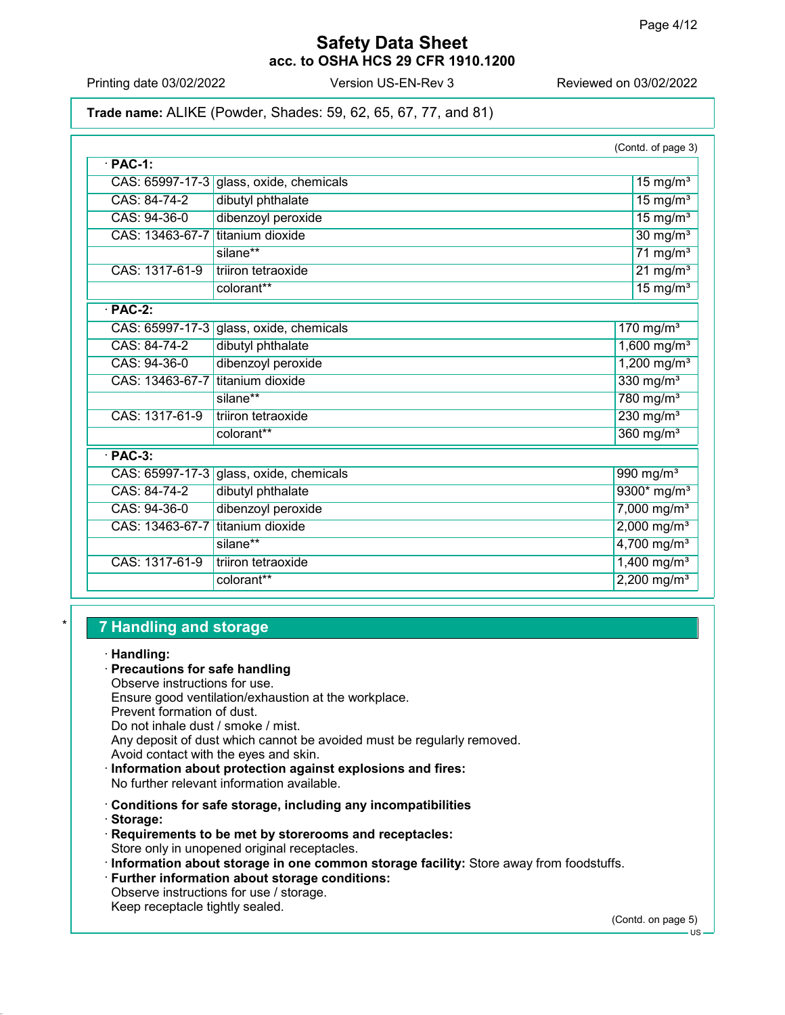Printing date 03/02/2022 Version US-EN-Rev 3 Reviewed on 03/02/2022

Trade name: ALIKE (Powder, Shades: 59, 62, 65, 67, 77, and 81)

|                 |                                         | (Contd. of page 3)        |
|-----------------|-----------------------------------------|---------------------------|
| $\cdot$ PAC-1:  |                                         |                           |
|                 | CAS: 65997-17-3 glass, oxide, chemicals | $15$ mg/m <sup>3</sup>    |
| CAS: 84-74-2    | dibutyl phthalate                       | $15 \text{ mg/m}^3$       |
| CAS: 94-36-0    | dibenzoyl peroxide                      | $15 \text{ mg/m}^3$       |
| CAS: 13463-67-7 | titanium dioxide                        | $30$ mg/m <sup>3</sup>    |
|                 | silane**                                | $71$ mg/m <sup>3</sup>    |
| CAS: 1317-61-9  | triiron tetraoxide                      | $21$ mg/m <sup>3</sup>    |
|                 | colorant**                              | $15$ mg/m <sup>3</sup>    |
| $·$ PAC-2:      |                                         |                           |
|                 | CAS: 65997-17-3 glass, oxide, chemicals | $170$ mg/m <sup>3</sup>   |
| CAS: 84-74-2    | dibutyl phthalate                       | $1,600$ mg/m <sup>3</sup> |
| CAS: 94-36-0    | dibenzoyl peroxide                      | $1,200$ mg/m <sup>3</sup> |
| CAS: 13463-67-7 | titanium dioxide                        | 330 $mg/m3$               |
|                 | silane**                                | 780 mg/m <sup>3</sup>     |
| CAS: 1317-61-9  | triiron tetraoxide                      | $230$ mg/m <sup>3</sup>   |
|                 | colorant**                              | $360$ mg/m <sup>3</sup>   |
| $\cdot$ PAC-3:  |                                         |                           |
|                 | CAS: 65997-17-3 glass, oxide, chemicals | 990 mg/m <sup>3</sup>     |
| CAS: 84-74-2    | dibutyl phthalate                       | 9300* mg/m <sup>3</sup>   |
| CAS: 94-36-0    | dibenzoyl peroxide                      | $7,000$ mg/m <sup>3</sup> |
| CAS: 13463-67-7 | titanium dioxide                        | $2,000$ mg/m <sup>3</sup> |
|                 | silane**                                | $4,700$ mg/m <sup>3</sup> |
| CAS: 1317-61-9  | triiron tetraoxide                      | $1,400$ mg/m <sup>3</sup> |
|                 | colorant**                              | $2,200$ mg/m <sup>3</sup> |
|                 |                                         |                           |

# **7 Handling and storage**

· Handling:

### · Precautions for safe handling

Observe instructions for use. Ensure good ventilation/exhaustion at the workplace. Prevent formation of dust. Do not inhale dust / smoke / mist. Any deposit of dust which cannot be avoided must be regularly removed. Avoid contact with the eyes and skin.

· Information about protection against explosions and fires: No further relevant information available.

· Conditions for safe storage, including any incompatibilities

· Storage:

- · Requirements to be met by storerooms and receptacles: Store only in unopened original receptacles.
- · Information about storage in one common storage facility: Store away from foodstuffs.
- · Further information about storage conditions:

Observe instructions for use / storage. Keep receptacle tightly sealed.

(Contd. on page 5)

 $H$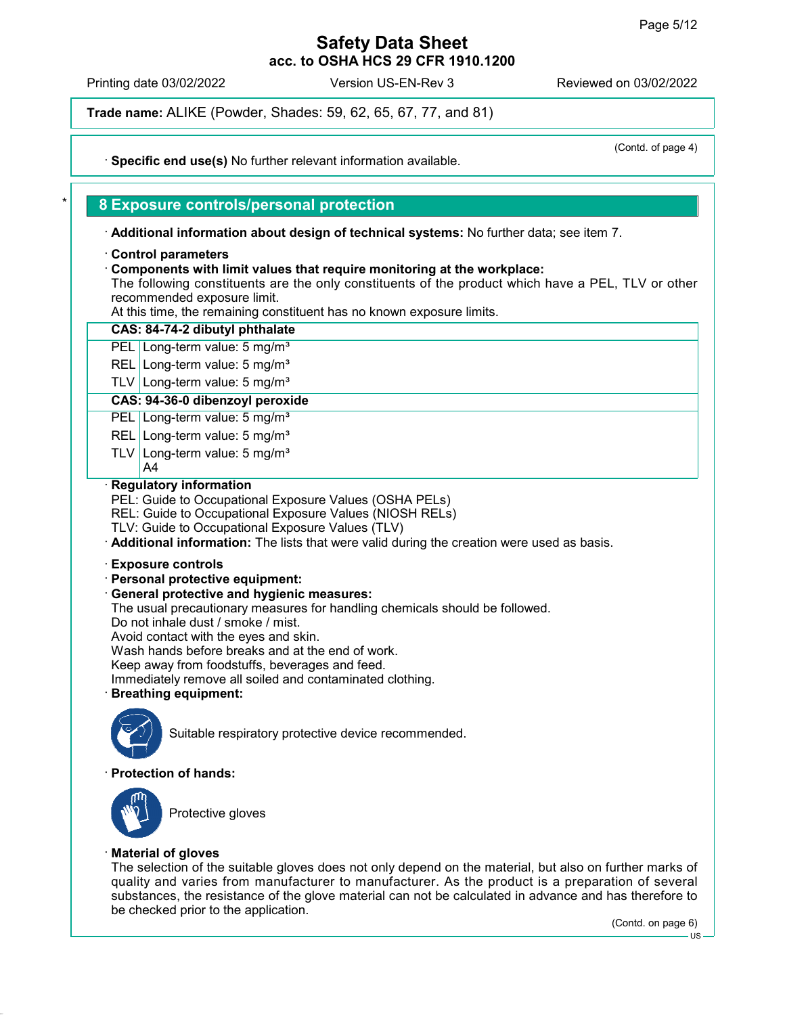(Contd. of page 4)

# Safety Data Sheet acc. to OSHA HCS 29 CFR 1910.1200

Printing date 03/02/2022 Version US-EN-Rev 3 Reviewed on 03/02/2022

Trade name: ALIKE (Powder, Shades: 59, 62, 65, 67, 77, and 81)

· Specific end use(s) No further relevant information available.

# 8 Exposure controls/personal protection

· Additional information about design of technical systems: No further data; see item 7.

### · Control parameters

· Components with limit values that require monitoring at the workplace:

The following constituents are the only constituents of the product which have a PEL, TLV or other recommended exposure limit.

At this time, the remaining constituent has no known exposure limits.

| , a and anno, and romaining concadent nuo no miowii cxpocure ilimic.                                                                                                                                                                                                                                                                                                                                                                                                            |
|---------------------------------------------------------------------------------------------------------------------------------------------------------------------------------------------------------------------------------------------------------------------------------------------------------------------------------------------------------------------------------------------------------------------------------------------------------------------------------|
| CAS: 84-74-2 dibutyl phthalate                                                                                                                                                                                                                                                                                                                                                                                                                                                  |
| PEL Long-term value: 5 mg/m <sup>3</sup>                                                                                                                                                                                                                                                                                                                                                                                                                                        |
| REL Long-term value: 5 mg/m <sup>3</sup>                                                                                                                                                                                                                                                                                                                                                                                                                                        |
| TLV Long-term value: $5 \text{ mg/m}^3$                                                                                                                                                                                                                                                                                                                                                                                                                                         |
| CAS: 94-36-0 dibenzoyl peroxide                                                                                                                                                                                                                                                                                                                                                                                                                                                 |
| PEL Long-term value: 5 mg/m <sup>3</sup>                                                                                                                                                                                                                                                                                                                                                                                                                                        |
| REL Long-term value: 5 mg/m <sup>3</sup>                                                                                                                                                                                                                                                                                                                                                                                                                                        |
| TLV Long-term value: 5 mg/m <sup>3</sup><br>A4                                                                                                                                                                                                                                                                                                                                                                                                                                  |
| <b>Regulatory information</b><br>PEL: Guide to Occupational Exposure Values (OSHA PELs)<br>REL: Guide to Occupational Exposure Values (NIOSH RELs)<br>TLV: Guide to Occupational Exposure Values (TLV)<br>. Additional information: The lists that were valid during the creation were used as basis.                                                                                                                                                                           |
| <b>Exposure controls</b><br>· Personal protective equipment:<br><b>General protective and hygienic measures:</b><br>The usual precautionary measures for handling chemicals should be followed.<br>Do not inhale dust / smoke / mist.<br>Avoid contact with the eyes and skin.<br>Wash hands before breaks and at the end of work.<br>Keep away from foodstuffs, beverages and feed.<br>Immediately remove all soiled and contaminated clothing.<br><b>Breathing equipment:</b> |
| Suitable respiratory protective device recommended.                                                                                                                                                                                                                                                                                                                                                                                                                             |
| <b>Protection of hands:</b>                                                                                                                                                                                                                                                                                                                                                                                                                                                     |
| Protective gloves                                                                                                                                                                                                                                                                                                                                                                                                                                                               |

### · Material of gloves

The selection of the suitable gloves does not only depend on the material, but also on further marks of quality and varies from manufacturer to manufacturer. As the product is a preparation of several substances, the resistance of the glove material can not be calculated in advance and has therefore to be checked prior to the application.

(Contd. on page 6)

 $-1$ IS -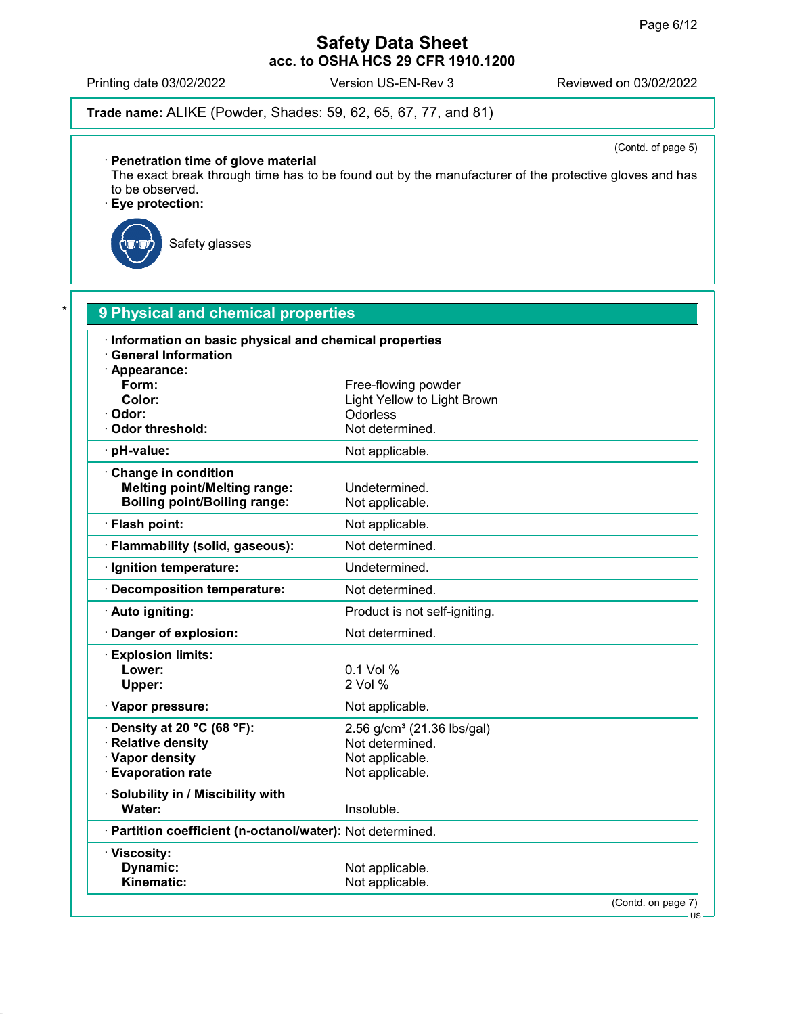Printing date 03/02/2022 Version US-EN-Rev 3 Reviewed on 03/02/2022

Trade name: ALIKE (Powder, Shades: 59, 62, 65, 67, 77, and 81)

(Contd. of page 5)

### · Penetration time of glove material

The exact break through time has to be found out by the manufacturer of the protective gloves and has to be observed.

· Eye protection:



Safety glasses

| <b>General Information</b><br>· Appearance:<br>Form:<br>Color:<br>· Odor:<br><b>Odorless</b><br>Odor threshold:<br>· pH-value:<br>Change in condition<br><b>Melting point/Melting range:</b><br><b>Boiling point/Boiling range:</b><br>· Flash point:<br>· Flammability (solid, gaseous):<br>· Ignition temperature:<br>· Decomposition temperature:<br>· Auto igniting:<br>Danger of explosion:<br>· Explosion limits:<br>Lower:<br>$0.1$ Vol %<br>2 Vol %<br>Upper:<br>· Vapor pressure:<br>Density at 20 °C (68 °F): | Free-flowing powder<br>Light Yellow to Light Brown<br>Not determined.<br>Not applicable.<br>Undetermined.<br>Not applicable.<br>Not applicable.<br>Not determined.<br>Undetermined.<br>Not determined.<br>Product is not self-igniting.<br>Not determined. |
|-------------------------------------------------------------------------------------------------------------------------------------------------------------------------------------------------------------------------------------------------------------------------------------------------------------------------------------------------------------------------------------------------------------------------------------------------------------------------------------------------------------------------|------------------------------------------------------------------------------------------------------------------------------------------------------------------------------------------------------------------------------------------------------------|
|                                                                                                                                                                                                                                                                                                                                                                                                                                                                                                                         |                                                                                                                                                                                                                                                            |
|                                                                                                                                                                                                                                                                                                                                                                                                                                                                                                                         |                                                                                                                                                                                                                                                            |
|                                                                                                                                                                                                                                                                                                                                                                                                                                                                                                                         |                                                                                                                                                                                                                                                            |
|                                                                                                                                                                                                                                                                                                                                                                                                                                                                                                                         |                                                                                                                                                                                                                                                            |
|                                                                                                                                                                                                                                                                                                                                                                                                                                                                                                                         |                                                                                                                                                                                                                                                            |
|                                                                                                                                                                                                                                                                                                                                                                                                                                                                                                                         |                                                                                                                                                                                                                                                            |
|                                                                                                                                                                                                                                                                                                                                                                                                                                                                                                                         |                                                                                                                                                                                                                                                            |
|                                                                                                                                                                                                                                                                                                                                                                                                                                                                                                                         |                                                                                                                                                                                                                                                            |
|                                                                                                                                                                                                                                                                                                                                                                                                                                                                                                                         |                                                                                                                                                                                                                                                            |
|                                                                                                                                                                                                                                                                                                                                                                                                                                                                                                                         |                                                                                                                                                                                                                                                            |
|                                                                                                                                                                                                                                                                                                                                                                                                                                                                                                                         |                                                                                                                                                                                                                                                            |
|                                                                                                                                                                                                                                                                                                                                                                                                                                                                                                                         |                                                                                                                                                                                                                                                            |
|                                                                                                                                                                                                                                                                                                                                                                                                                                                                                                                         |                                                                                                                                                                                                                                                            |
|                                                                                                                                                                                                                                                                                                                                                                                                                                                                                                                         |                                                                                                                                                                                                                                                            |
|                                                                                                                                                                                                                                                                                                                                                                                                                                                                                                                         |                                                                                                                                                                                                                                                            |
|                                                                                                                                                                                                                                                                                                                                                                                                                                                                                                                         |                                                                                                                                                                                                                                                            |
|                                                                                                                                                                                                                                                                                                                                                                                                                                                                                                                         |                                                                                                                                                                                                                                                            |
|                                                                                                                                                                                                                                                                                                                                                                                                                                                                                                                         |                                                                                                                                                                                                                                                            |
|                                                                                                                                                                                                                                                                                                                                                                                                                                                                                                                         | Not applicable.                                                                                                                                                                                                                                            |
|                                                                                                                                                                                                                                                                                                                                                                                                                                                                                                                         | 2.56 g/cm <sup>3</sup> (21.36 lbs/gal)                                                                                                                                                                                                                     |
| · Relative density                                                                                                                                                                                                                                                                                                                                                                                                                                                                                                      | Not determined.                                                                                                                                                                                                                                            |
| · Vapor density                                                                                                                                                                                                                                                                                                                                                                                                                                                                                                         | Not applicable.                                                                                                                                                                                                                                            |
| <b>Evaporation rate</b>                                                                                                                                                                                                                                                                                                                                                                                                                                                                                                 | Not applicable.                                                                                                                                                                                                                                            |
| Solubility in / Miscibility with                                                                                                                                                                                                                                                                                                                                                                                                                                                                                        |                                                                                                                                                                                                                                                            |
| Water:<br>Insoluble.                                                                                                                                                                                                                                                                                                                                                                                                                                                                                                    |                                                                                                                                                                                                                                                            |
| · Partition coefficient (n-octanol/water): Not determined.                                                                                                                                                                                                                                                                                                                                                                                                                                                              |                                                                                                                                                                                                                                                            |
| · Viscosity:                                                                                                                                                                                                                                                                                                                                                                                                                                                                                                            |                                                                                                                                                                                                                                                            |
| Dynamic:<br>Kinematic:                                                                                                                                                                                                                                                                                                                                                                                                                                                                                                  | Not applicable.<br>Not applicable.                                                                                                                                                                                                                         |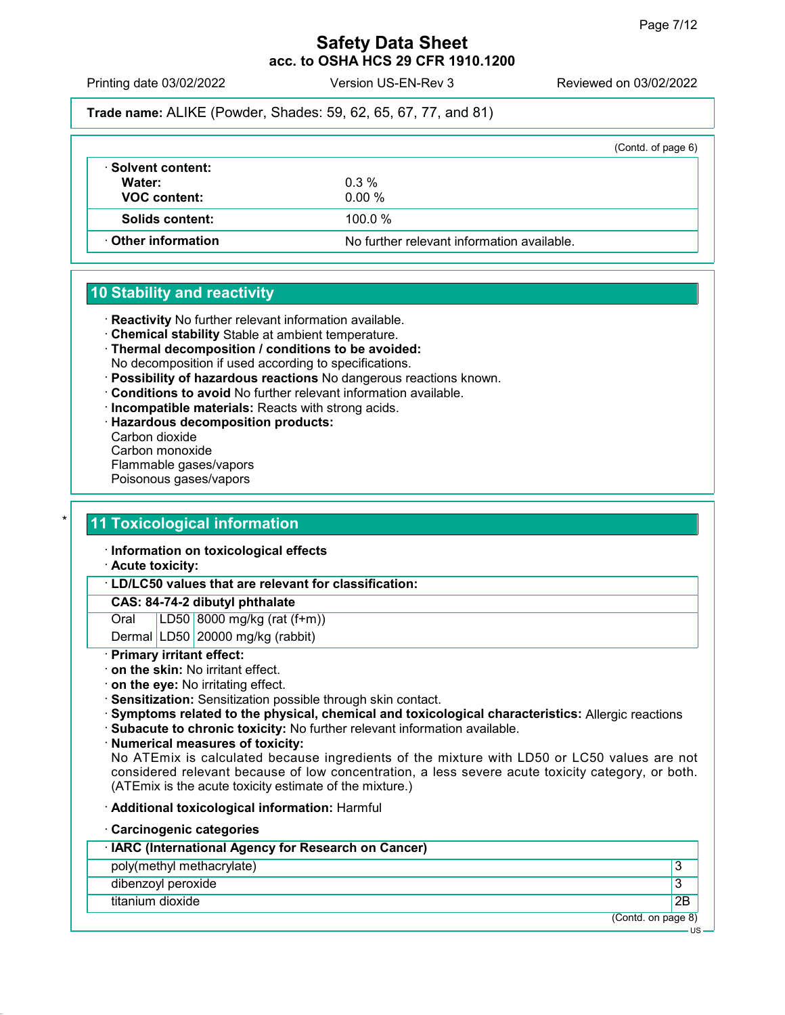Printing date 03/02/2022 Version US-EN-Rev 3 Reviewed on 03/02/2022

Trade name: ALIKE (Powder, Shades: 59, 62, 65, 67, 77, and 81)

|                              | (Contd. of page 6)                         |
|------------------------------|--------------------------------------------|
| · Solvent content:<br>Water: | $0.3\%$                                    |
| <b>VOC content:</b>          | 0.00%                                      |
| Solids content:              | $100.0 \%$                                 |
| <b>⋅ Other information</b>   | No further relevant information available. |

# 10 Stability and reactivity

- · Reactivity No further relevant information available.
- · Chemical stability Stable at ambient temperature.
- · Thermal decomposition / conditions to be avoided: No decomposition if used according to specifications.
- · Possibility of hazardous reactions No dangerous reactions known.
- · Conditions to avoid No further relevant information available.
- · Incompatible materials: Reacts with strong acids.
- · Hazardous decomposition products:
- Carbon dioxide
- Carbon monoxide
- Flammable gases/vapors
- Poisonous gases/vapors

# 11 Toxicological information

- · Information on toxicological effects
- · Acute toxicity:
- · LD/LC50 values that are relevant for classification:

### CAS: 84-74-2 dibutyl phthalate

- Oral LD50 8000 mg/kg (rat (f+m))
- Dermal LD50 20000 mg/kg (rabbit)

### · Primary irritant effect:

- · on the skin: No irritant effect.
- · on the eye: No irritating effect.
- · Sensitization: Sensitization possible through skin contact.
- · Symptoms related to the physical, chemical and toxicological characteristics: Allergic reactions
- · Subacute to chronic toxicity: No further relevant information available.
- · Numerical measures of toxicity:

No ATEmix is calculated because ingredients of the mixture with LD50 or LC50 values are not considered relevant because of low concentration, a less severe acute toxicity category, or both. (ATEmix is the acute toxicity estimate of the mixture.)

- · Additional toxicological information: Harmful
- · Carcinogenic categories

| · IARC (International Agency for Research on Cancer) |                    |
|------------------------------------------------------|--------------------|
| poly(methyl methacrylate)                            | 3                  |
| dibenzoyl peroxide                                   |                    |
| titanium dioxide                                     | 2B                 |
|                                                      | (Contd. on page 8) |
|                                                      | US                 |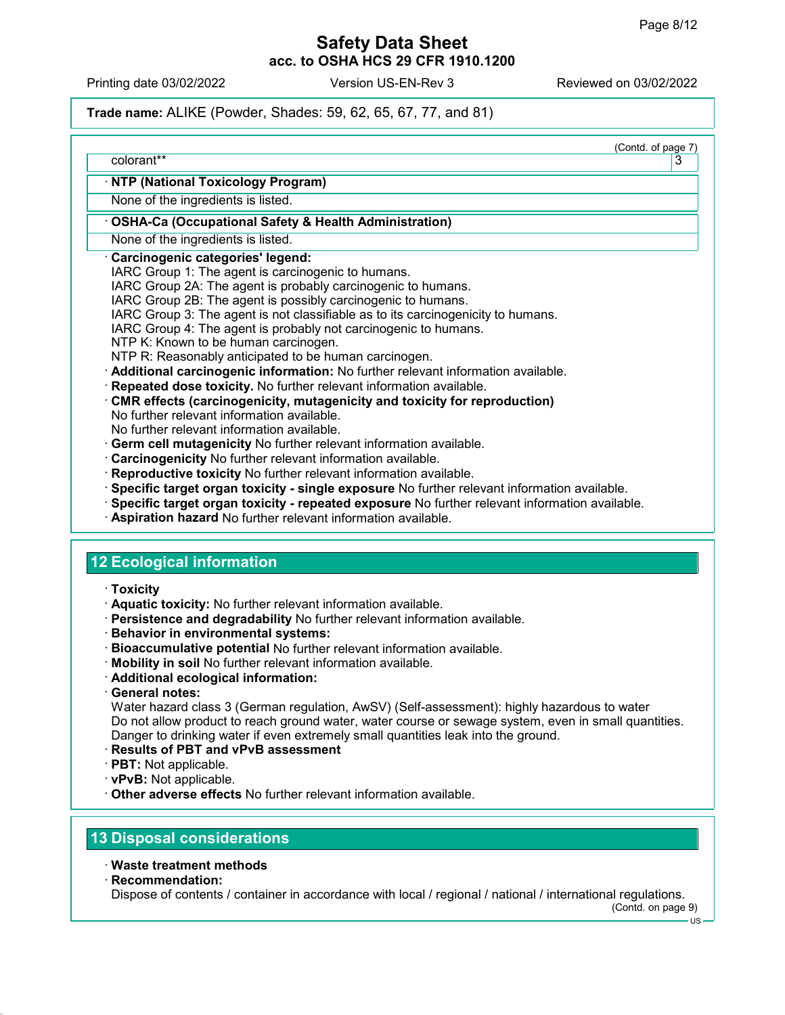Printing date 03/02/2022 Version US-EN-Rev 3 Reviewed on 03/02/2022

# Trade name: ALIKE (Powder, Shades: 59, 62, 65, 67, 77, and 81)

| (Contd. of page 7)<br>colorant**                                                                                   | 3 |
|--------------------------------------------------------------------------------------------------------------------|---|
|                                                                                                                    |   |
| NTP (National Toxicology Program)                                                                                  |   |
| None of the ingredients is listed.                                                                                 |   |
| <b>OSHA-Ca (Occupational Safety &amp; Health Administration)</b>                                                   |   |
| None of the ingredients is listed.                                                                                 |   |
| Carcinogenic categories' legend:                                                                                   |   |
| IARC Group 1: The agent is carcinogenic to humans.<br>IARC Group 2A: The agent is probably carcinogenic to humans. |   |
| IARC Group 2B: The agent is possibly carcinogenic to humans.                                                       |   |
| IARC Group 3: The agent is not classifiable as to its carcinogenicity to humans.                                   |   |
| IARC Group 4: The agent is probably not carcinogenic to humans.                                                    |   |
| NTP K: Known to be human carcinogen.                                                                               |   |
| NTP R: Reasonably anticipated to be human carcinogen.                                                              |   |
| · Additional carcinogenic information: No further relevant information available.                                  |   |
| Repeated dose toxicity. No further relevant information available.                                                 |   |
| CMR effects (carcinogenicity, mutagenicity and toxicity for reproduction)                                          |   |
| No further relevant information available.                                                                         |   |
| No further relevant information available.                                                                         |   |
| · Germ cell mutagenicity No further relevant information available.                                                |   |
| Carcinogenicity No further relevant information available.                                                         |   |
| · Reproductive toxicity No further relevant information available.                                                 |   |
| · Specific target organ toxicity - single exposure No further relevant information available.                      |   |
| Bpecific target organ toxicity - repeated exposure No further relevant information available.                      |   |
| Aspiration hazard No further relevant information available.                                                       |   |
|                                                                                                                    |   |
|                                                                                                                    |   |

# 12 Ecological information

- · Toxicity
- · Aquatic toxicity: No further relevant information available.
- · Persistence and degradability No further relevant information available.
- · Behavior in environmental systems:
- · Bioaccumulative potential No further relevant information available.
- · Mobility in soil No further relevant information available.
- · Additional ecological information:
- · General notes:

Water hazard class 3 (German regulation, AwSV) (Self-assessment): highly hazardous to water Do not allow product to reach ground water, water course or sewage system, even in small quantities. Danger to drinking water if even extremely small quantities leak into the ground.

- · Results of PBT and vPvB assessment
- · PBT: Not applicable.
- · vPvB: Not applicable.
- · Other adverse effects No further relevant information available.

# 13 Disposal considerations

- · Waste treatment methods
- · Recommendation:

Dispose of contents / container in accordance with local / regional / national / international regulations.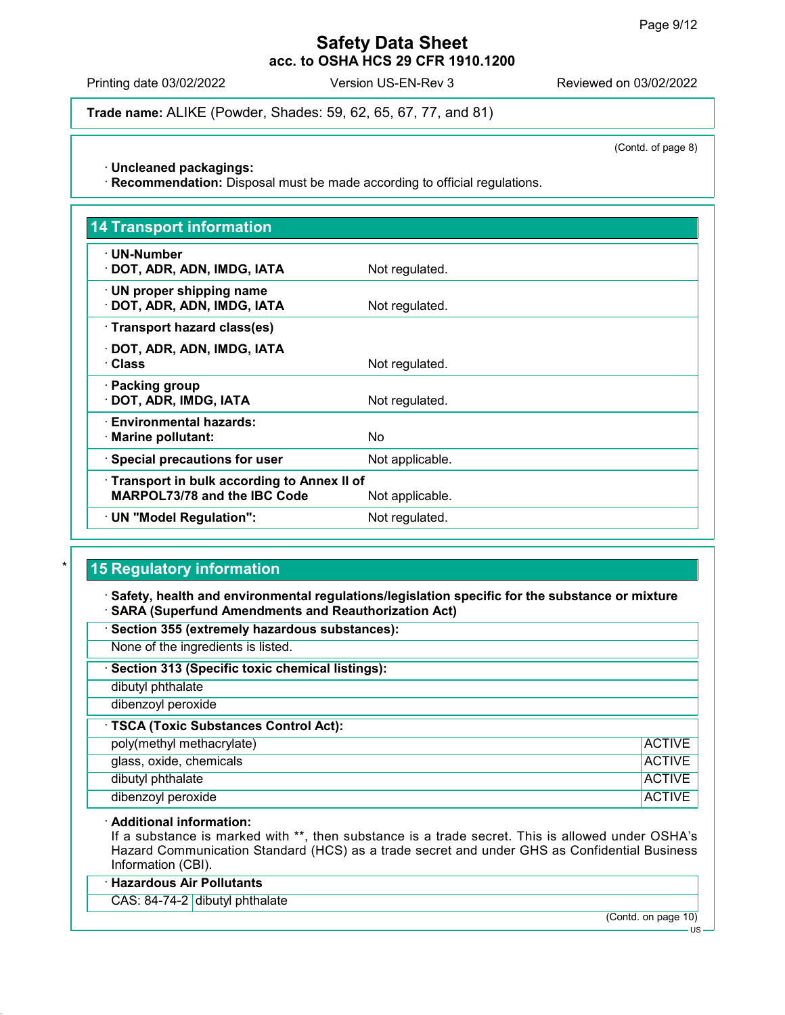Printing date 03/02/2022 Version US-EN-Rev 3 Reviewed on 03/02/2022

Trade name: ALIKE (Powder, Shades: 59, 62, 65, 67, 77, and 81)

(Contd. of page 8)

· Uncleaned packagings:

· Recommendation: Disposal must be made according to official regulations.

| <b>14 Transport information</b>                                                   |                 |
|-----------------------------------------------------------------------------------|-----------------|
| $\cdot$ UN-Number<br>· DOT, ADR, ADN, IMDG, IATA                                  | Not regulated.  |
| $\cdot$ UN proper shipping name<br>· DOT, ADR, ADN, IMDG, IATA                    | Not regulated.  |
| · Transport hazard class(es)                                                      |                 |
| · DOT, ADR, ADN, IMDG, IATA<br>· Class                                            | Not regulated.  |
| · Packing group<br>· DOT, ADR, IMDG, IATA                                         | Not regulated.  |
| · Environmental hazards:<br>· Marine pollutant:                                   | No.             |
| · Special precautions for user                                                    | Not applicable. |
| Transport in bulk according to Annex II of<br><b>MARPOL73/78 and the IBC Code</b> | Not applicable. |
| · UN "Model Regulation":                                                          | Not regulated.  |

# **15 Regulatory information**

· Safety, health and environmental regulations/legislation specific for the substance or mixture · SARA (Superfund Amendments and Reauthorization Act)

- · Section 355 (extremely hazardous substances):
- None of the ingredients is listed.
- Section 313 (Specific toxic chemical listings):
- dibutyl phthalate
- dibenzoyl peroxide
- · TSCA (Toxic Substances Control Act):
- poly(methyl methacrylate) and the control of the control of the control of the control of the control of the control of the control of the control of the control of the control of the control of the control of the control glass, oxide, chemicals ACTIVE dibutyl phthalate and the control of the control of the control of the control of the control of the control of the control of the control of the control of the control of the control of the control of the control of the c dibenzoyl peroxide and activities are all the control of the control of the control of the control of the control of the control of the control of the control of the control of the control of the control of the control of

### · Additional information:

If a substance is marked with \*\*, then substance is a trade secret. This is allowed under OSHA's Hazard Communication Standard (HCS) as a trade secret and under GHS as Confidential Business Information (CBI).

### · Hazardous Air Pollutants

CAS: 84-74-2 dibutyl phthalate

(Contd. on page 10)

US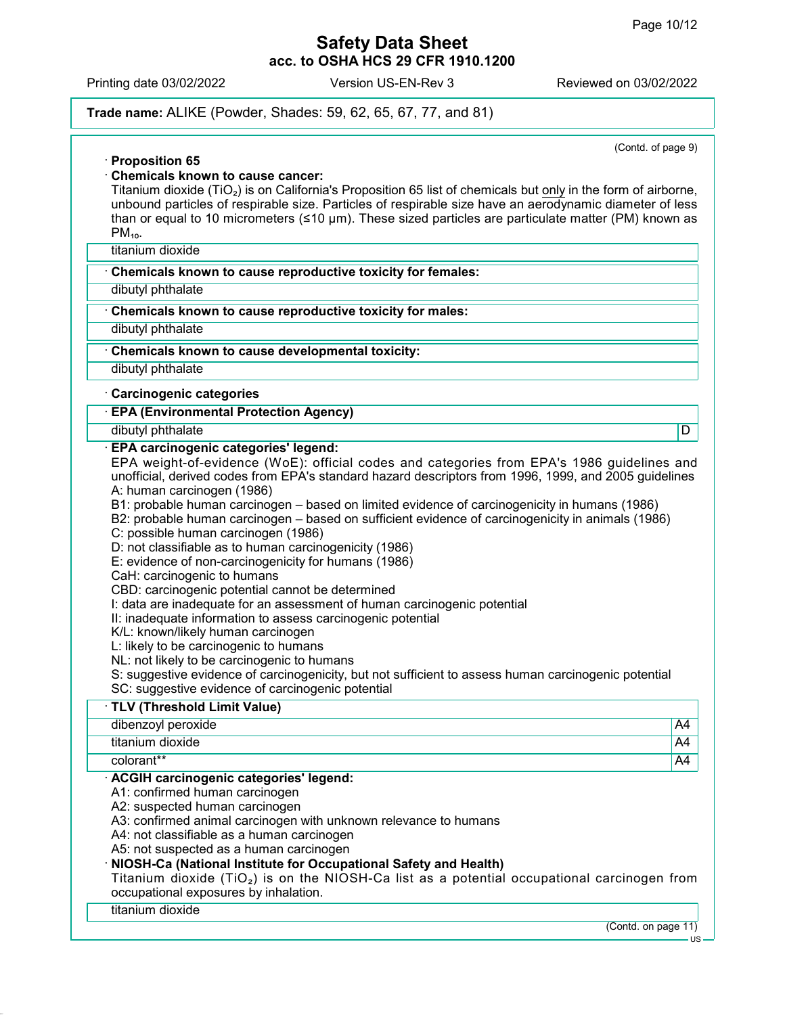$\overline{11}$ 

# Safety Data Sheet acc. to OSHA HCS 29 CFR 1910.1200

Printing date 03/02/2022 Version US-EN-Rev 3 Reviewed on 03/02/2022

## Trade name: ALIKE (Powder, Shades: 59, 62, 65, 67, 77, and 81)

(Contd. of page 9) · Proposition 65 · Chemicals known to cause cancer: Titanium dioxide (TiO₂) is on California's Proposition 65 list of chemicals but only in the form of airborne, unbound particles of respirable size. Particles of respirable size have an aerodynamic diameter of less than or equal to 10 micrometers (≤10 µm). These sized particles are particulate matter (PM) known as  $PM_{10}$ . titanium dioxide · Chemicals known to cause reproductive toxicity for females: dibutyl phthalate · Chemicals known to cause reproductive toxicity for males: dibutyl phthalate Chemicals known to cause developmental toxicity: dibutyl phthalate · Carcinogenic categories · EPA (Environmental Protection Agency) dibutyl phthalate **D** · EPA carcinogenic categories' legend: EPA weight-of-evidence (WoE): official codes and categories from EPA's 1986 guidelines and unofficial, derived codes from EPA's standard hazard descriptors from 1996, 1999, and 2005 guidelines A: human carcinogen (1986) B1: probable human carcinogen – based on limited evidence of carcinogenicity in humans (1986) B2: probable human carcinogen – based on sufficient evidence of carcinogenicity in animals (1986) C: possible human carcinogen (1986) D: not classifiable as to human carcinogenicity (1986) E: evidence of non-carcinogenicity for humans (1986) CaH: carcinogenic to humans CBD: carcinogenic potential cannot be determined I: data are inadequate for an assessment of human carcinogenic potential II: inadequate information to assess carcinogenic potential K/L: known/likely human carcinogen L: likely to be carcinogenic to humans NL: not likely to be carcinogenic to humans S: suggestive evidence of carcinogenicity, but not sufficient to assess human carcinogenic potential SC: suggestive evidence of carcinogenic potential · TLV (Threshold Limit Value) dibenzoyl peroxide A4 titanium dioxide A44 colorant\*\* A4 · ACGIH carcinogenic categories' legend: A1: confirmed human carcinogen A2: suspected human carcinogen A3: confirmed animal carcinogen with unknown relevance to humans A4: not classifiable as a human carcinogen A5: not suspected as a human carcinogen · NIOSH-Ca (National Institute for Occupational Safety and Health) Titanium dioxide (TiO<sub>2</sub>) is on the NIOSH-Ca list as a potential occupational carcinogen from occupational exposures by inhalation. titanium dioxide (Contd. on page 11)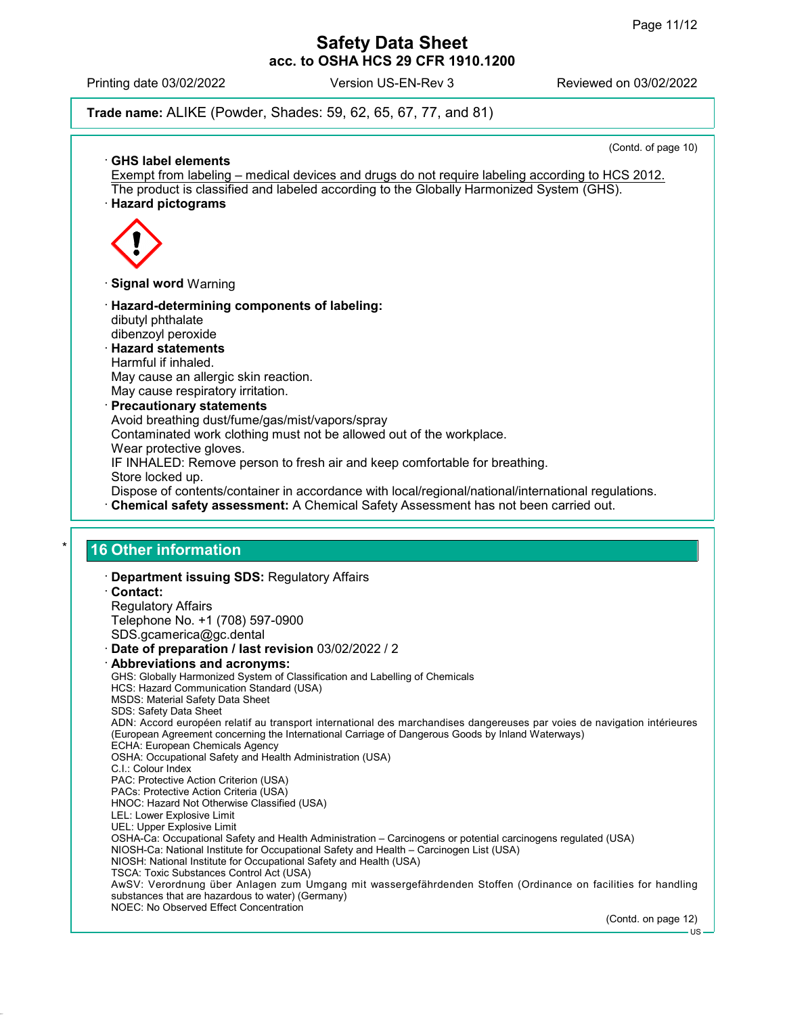US

# Safety Data Sheet acc. to OSHA HCS 29 CFR 1910.1200

Printing date 03/02/2022 Version US-EN-Rev 3 Reviewed on 03/02/2022

Trade name: ALIKE (Powder, Shades: 59, 62, 65, 67, 77, and 81)

(Contd. of page 10) · GHS label elements Exempt from labeling – medical devices and drugs do not require labeling according to HCS 2012. The product is classified and labeled according to the Globally Harmonized System (GHS). · Hazard pictograms · Signal word Warning · Hazard-determining components of labeling: dibutyl phthalate dibenzoyl peroxide · Hazard statements Harmful if inhaled. May cause an allergic skin reaction. May cause respiratory irritation. · Precautionary statements Avoid breathing dust/fume/gas/mist/vapors/spray Contaminated work clothing must not be allowed out of the workplace. Wear protective gloves. IF INHALED: Remove person to fresh air and keep comfortable for breathing. Store locked up. Dispose of contents/container in accordance with local/regional/national/international regulations. · Chemical safety assessment: A Chemical Safety Assessment has not been carried out. 16 Other information · Department issuing SDS: Regulatory Affairs · Contact: Regulatory Affairs Telephone No. +1 (708) 597-0900 SDS.gcamerica@gc.dental · Date of preparation / last revision 03/02/2022 / 2 · Abbreviations and acronyms: GHS: Globally Harmonized System of Classification and Labelling of Chemicals HCS: Hazard Communication Standard (USA) MSDS: Material Safety Data Sheet SDS: Safety Data Sheet ADN: Accord européen relatif au transport international des marchandises dangereuses par voies de navigation intérieures (European Agreement concerning the International Carriage of Dangerous Goods by Inland Waterways) ECHA: European Chemicals Agency OSHA: Occupational Safety and Health Administration (USA) C.I.: Colour Index PAC: Protective Action Criterion (USA) PACs: Protective Action Criteria (USA) HNOC: Hazard Not Otherwise Classified (USA) LEL: Lower Explosive Limit UEL: Upper Explosive Limit OSHA-Ca: Occupational Safety and Health Administration – Carcinogens or potential carcinogens regulated (USA) NIOSH-Ca: National Institute for Occupational Safety and Health – Carcinogen List (USA) NIOSH: National Institute for Occupational Safety and Health (USA) TSCA: Toxic Substances Control Act (USA) AwSV: Verordnung über Anlagen zum Umgang mit wassergefährdenden Stoffen (Ordinance on facilities for handling substances that are hazardous to water) (Germany) NOEC: No Observed Effect Concentration (Contd. on page 12)